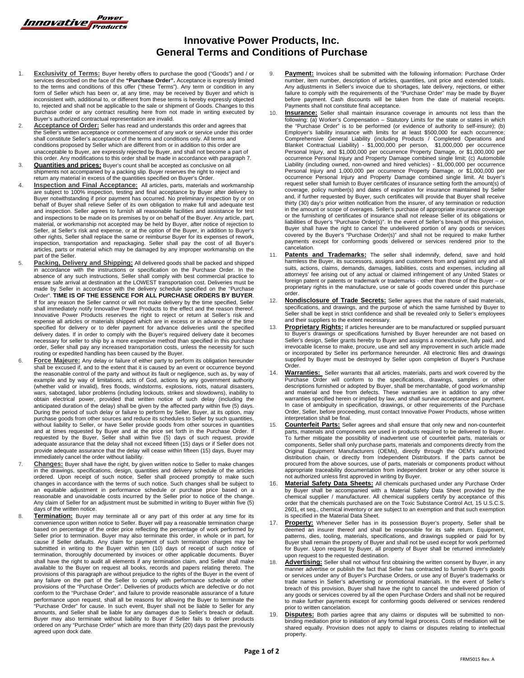

## **Innovative Power Products, Inc. General Terms and Conditions of Purchase**

- 1. **Exclusivity of Terms:** Buyer hereby offers to purchase the good ("Goods") and / or services described on the face of the **"Purchase Order".** Acceptance is expressly limited to the terms and conditions of this offer ("these Terms"). Any term or condition in any form of Seller which has been or, at any time, may be received by Buyer and which is inconsistent with, additional to, or different from these terms is hereby expressly objected to, rejected and shall not be applicable to the sale or shipment of Goods. Changes to this purchase order or any contract resulting here from not made in writing executed by Buyer's authorized contractual representation are invalid.
- 2. **Acceptance of Order:** Seller has read and understands this order and agrees that the Seller's written acceptance or commencement of any work or service under this order shall constitute Seller's acceptance of the terms and conditions only. All terms and conditions proposed by Seller which are different from or in addition to this order are unacceptable to Buyer, are expressly rejected by Buyer, and shall not become a part of this order. Any modifications to this order shall be made in accordance with paragraph 7.
- **Quantities and prices:** Buyer's count shall be accepted as conclusive on all shipments not accompanied by a packing slip. Buyer reserves the right to reject and return any material in excess of the quantities specified on Buyer's Order.
- **Inspection and Final Acceptance:** All articles, parts, materials and workmanship are subject to 100% inspection, testing and final acceptance by Buyer after delivery to Buyer notwithstanding if prior payment has occurred. No preliminary inspection by or on behalf of Buyer shall relieve Seller of its own obligation to make full and adequate test and inspection. Seller agrees to furnish all reasonable facilities and assistance for test and inspections to be made on its premises by or on behalf of the Buyer. Any article, part, material, or workmanship not accepted may be held by Buyer, after notice of rejection to Seller, at Seller's risk and expense, or at the option of the Buyer, in addition to Buyer's other rights, Seller shall replace the same or reimburse Buyer for its expenses of rework, inspection, transportation and repackaging. Seller shall pay the cost of all Buyer's articles, parts or material which may be damaged by any improper workmanship on the part of the Seller.
- 5. **Packing, Delivery and Shipping:** All delivered goods shall be packed and shipped in accordance with the instructions or specification on the Purchase Order. In the absence of any such instructions, Seller shall comply with best commercial practice to ensure safe arrival at destination at the LOWEST transportation cost. Deliveries must be made by Seller in accordance with the delivery schedule specified on the "Purchase Order". **TIME IS OF THE ESSENCE FOR ALL PURCHASE ORDERS BY BUYER**. If for any reason the Seller cannot or will not make delivery by the time specified, Seller shall immediately notify Innovative Power Products to the effect and the reason thereof. Innovative Power Products reserves the right to reject or return at Seller's risk and expense all articles or materials shipped which are in excess or in advance of the time specified for delivery or to defer payment for advance deliveries until the specified delivery dates. If in order to comply with the Buyer's required delivery date it becomes necessary for seller to ship by a more expensive method than specified in this purchase order, Seller shall pay any increased transportation costs, unless the necessity for such routing or expedited handling has been caused by the Buyer.
- 6. **Force Majeure:** Any delay or failure of either party to perform its obligation hereunder shall be excused if, and to the extent that it is caused by an event or occurrence beyond the reasonable control of the party and without its fault or negligence, such as, by way of example and by way of limitations, acts of God, actions by any government authority (whether valid or invalid), fires floods, windstorms, explosions, riots, natural disasters, wars, sabotaged, labor problems (including lockouts, strikes and slowdowns), inability to obtain electrical power, provided that written notice of such delay (including the anticipated duration of the delay) shall be given by the affected party within five (5) days. During the period of such delay or failure to perform by Seller, Buyer, at its option, may purchase goods from other sources and reduce its schedules to Seller by such quantities, without liability to Seller, or have Seller provide goods from other sources in quantities and at times requested by Buyer and at the price set forth in the Purchase Order. If requested by the Buyer, Seller shall within five (5) days of such request, provide adequate assurance that the delay shall not exceed fifteen (15) days or if Seller does not provide adequate assurance that the delay will cease within fifteen (15) days, Buyer may immediately cancel the order without liability.
- 7. **Changes:** Buyer shall have the right, by given written notice to Seller to make changes in the drawings, specifications, design, quantities and delivery schedule of the articles ordered. Upon receipt of such notice, Seller shall proceed promptly to make such changes in accordance with the terms of such notice. Such changes shall be subject to an equitable adjustment in performance schedule or purchase price based on a reasonable and unavoidable costs incurred by the Seller prior to notice of the change. Any claim of Seller for an adjustment must be submitted in writing to Buyer within five (5) days of the written notice.
- 8. **Termination:** Buyer may terminate all or any part of this order at any time for its convenience upon written notice to Seller. Buyer will pay a reasonable termination charge based on percentage of the order price refle Seller prior to termination. Buyer may also terminate this order, in whole or in part, for cause if Seller defaults. Any claim for payment of such termination charges may be submitted in writing to the Buyer within ten (10) days of receipt of such notice of termination, thoroughly documented by invoices or other applicable documents. Buyer shall have the right to audit all elements if any termination claim, and Seller shall make available to the Buyer on request all books, records and papers relating thereto. The provisions of this paragraph are without prejudice to the rights of the Buyer in the event of any failure on the part of the Seller to comply with performance schedule or other provisions of the "Purchase Order". Deliveries of products which are defective or do not conform to the "Purchase Order", and failure to provide reasonable assurance of a future performance upon request, shall all be reasons for allowing the Buyer to terminate the "Purchase Order" for cause. In such event, Buyer shall not be liable to Seller for any amounts, and Seller shall be liable for any damages due to Seller's breach or default. Buyer may also terminate without liability to Buyer if Seller fails to deliver products ordered on any "Purchase Order" which are more than thirty (20) days past the previously agreed upon dock date.
- 9. **Payment:** Invoices shall be submitted with the following information: Purchase Order number, item number, description of articles, quantities, unit price and extended totals. Any adjustments in Seller's invoice due to shortages, late delivery, rejections, or either failure to comply with the requirements of the "Purchase Order" may be made by Buyer before payment. Cash discounts will be taken from the date of material receipts. Payments shall not constitute final acceptance.
- **Insurance:** Seller shall maintain insurance coverage in amounts not less than the following: (a) Worker's Compensation – Statutory Limits for the state or states in which the "Purchase Order" is to be performed (or evidence of authority to self-insure); (b) Employer's liability insurance with limits for at least \$500,000 for each occurrence; Comprehensive General Liability (including Products / Completed Operations and<br>Blanket Contractual Liability) - \$1,000,000 per person, \$1,000,000 per occurrence<br>Personal Injury, and \$1,000,000 per occurrence Property Damag occurrence Personal Injury and Property Damage combined single limit; (c) Automobile Liability (including owned, non-owned and hired vehicles) - \$1,000,000 per occurrence Personal Injury and 1,000,000 per occurrence Property Damage, or \$1,000,000 per<br>occurrence Personal Injury and Property Damage combined single limit. At buyer's<br>request seller shall furnish to Buyer certificates of insuran coverage, policy number(s) and dates of expiration for insurance maintained by Seller and, if further requested by Buyer, such certificates will provide that Buyer shall receive thirty (30) day's prior written notification from the insurer, of any termination or reduction in the amount or scope of overages. Seller's purchase of appropriate insurance coverage or the furnishing of certificates of insurance shall not release Seller of its obligations or liabilities of Buyer's "Purchase Order(s)". In the event of Seller's breach of this provision, Buyer shall have the right to cancel the undelivered portion of any goods or services covered by the Buyer's "Purchase Order(s)" and shall not be required to make further payments except for conforming goods delivered or services rendered prior to the cancelation.
- 11. **Patents and Trademarks:** The seller shall indemnify, defend, save and hold harmless the Buyer, its successors, assigns and customers from and against any and all suits, actions, claims, demands, damages, liabilities, costs and expenses, including all attorneys' fee arising out of any actual or claimed infringement of any United States or foreign patent or patents or trademark or trademarks - other than those of the Buyer – or proprietary rights in the manufacture, use or sale of goods covered under this purchase order.
- 12. **Nondisclosure of Trade Secrets:** Seller agrees that the nature of said materials, specifications, and drawings, and the purpose of which the same furnished by Buyer to Seller shall be kept in strict confidence and shall be revealed only to Seller's employees and their suppliers to the extent necessary.
- 13. **Proprietary Rights:** If articles hereunder are to be manufactured or supplied pursuant to Buyer's drawings or specifications furnished by Buyer hereunder are not based on Seller's design, Seller grants hereby to Buyer and assigns a nonexclusive, fully paid, and irrevocable license to make, procure, use and sell any improvement in such article made or incorporated by Seller ins performance hereunder. All electronic files and drawings supplied by Buyer must be destroyed by Seller upon completion of Buyer's Purchase Order.
- 14. **Warranties:** Seller warrants that all articles, materials, parts and work covered by the Purchase Order will conform to the specifications, drawings, samples or other descriptions furnished or adopted by Buyer, shall be merchantable, of good workmanship and material and free from defects. These warranties are in addition to any other warranties specified herein or implied by law, and shall survive acceptance and payment. In case of ambiguity in specification, drawings, or other requirements of the Purchase Order, Seller, before proceeding, must contact Innovative Power Products, whose written interpretation shall be final.
- **Counterfeit Parts:** Seller agrees and shall ensure that only new and non-counterfeit parts, materials and components are used in products required to be delivered to Buyer. To further mitigate the possibility of inadvertent use of counterfeit parts, materials or components, Seller shall only purchase parts, materials and components directly from the Original Equipment Manufacturers (OEMs), directly through the OEM's authorized distribution chain, or directly from Independent Distributors. If the parts cannot be procured from the above sources, use of parts, materials or components product without appropriate traceability documentation from independent broker or any other source is not authorized unless first approved in writing by Buyer.
- Material Safety Data Sheets: All chemicals purchased under any Purchase Order by Buyer shall be accompanied with a Material Safety Data Sheet provided by the chemical supplier / manufacturer. All chemical suppliers certify by acceptance of this order that the chemicals purchased are on the Toxic Substance Control Act, 15 U.S.C.S. 2601, et seq., chemical inventory or are subject to an exemption and that such exemption is specified in the Material Data Sheet.
- Property: Whenever Seller has in its possession Buyer's property, Seller shall be deemed an insurer thereof and shall be responsible for its safe return. Equipment, patterns, dies, tooling, materials, specifications, and drawings supplied or paid for by Buyer shall remain the property of Buyer and shall not be used except for work performed for Buyer. Upon request by Buyer, all property of Buyer shall be returned immediately upon request to the requested destination.
- 18. **Advertising:** Seller shall not without first obtaining the written consent by Buyer, in any manner advertise or publish the fact that Seller has contracted to furnish Buyer's goods or services under any of Buyer's Purchase Orders, or use any of Buyer's trademarks or<br>trade names in Seller's advertising or promotional materials. In the event of Seller's<br>breach of this provision, Buyer shall have the ri any goods or services covered by all the open Purchase Orders and shall not be required to make further payments except for conforming goods delivered or services rendered prior to written cancelation.
- **Disputes:** Both parties agree that any claims or disputes will be submitted to nonbinding mediation prior to initiation of any formal legal process. Costs of mediation will be shared equally. Provision does not apply to claims or disputes relating to intellectual property.